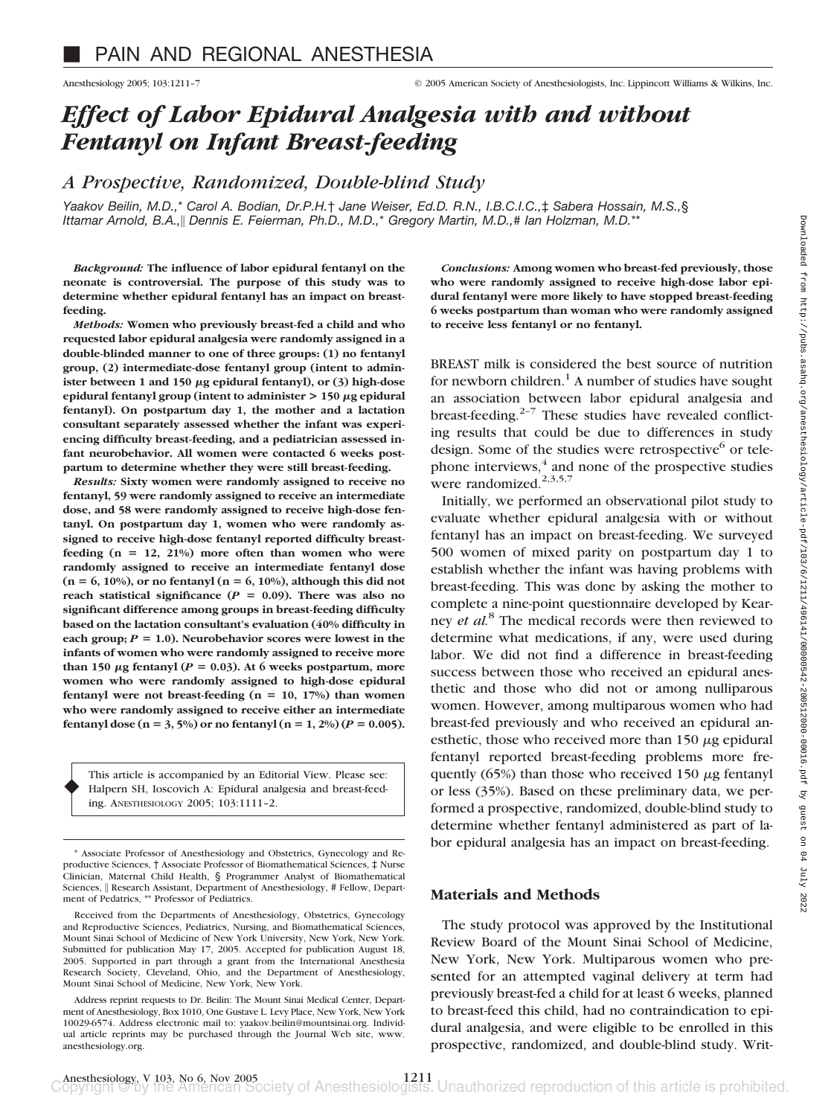# *Effect of Labor Epidural Analgesia with and without Fentanyl on Infant Breast-feeding*

## *A Prospective, Randomized, Double-blind Study*

*Yaakov Beilin, M.D.,*\* *Carol A. Bodian, Dr.P.H.*† *Jane Weiser, Ed.D. R.N., I.B.C.I.C.,*‡ *Sabera Hossain, M.S.,*§ *Ittamar Arnold, B.A.,*- *Dennis E. Feierman, Ph.D., M.D.,*\* *Gregory Martin, M.D.,*# *Ian Holzman, M.D.*\*\*

*Background:* **The influence of labor epidural fentanyl on the neonate is controversial. The purpose of this study was to determine whether epidural fentanyl has an impact on breastfeeding.**

*Methods:* **Women who previously breast-fed a child and who requested labor epidural analgesia were randomly assigned in a double-blinded manner to one of three groups: (1) no fentanyl group, (2) intermediate-dose fentanyl group (intent to admin**ister between 1 and 150  $\mu$ g epidural fentanyl), or (3) high-dose **epidural fentanyl group (intent to administer > 150 g epidural fentanyl). On postpartum day 1, the mother and a lactation consultant separately assessed whether the infant was experiencing difficulty breast-feeding, and a pediatrician assessed infant neurobehavior. All women were contacted 6 weeks postpartum to determine whether they were still breast-feeding.**

*Results:* **Sixty women were randomly assigned to receive no fentanyl, 59 were randomly assigned to receive an intermediate dose, and 58 were randomly assigned to receive high-dose fentanyl. On postpartum day 1, women who were randomly assigned to receive high-dose fentanyl reported difficulty breastfeeding (n** - **12, 21%) more often than women who were randomly assigned to receive an intermediate fentanyl dose (n** - **6, 10%), or no fentanyl (n** - **6, 10%), although this did not** reach statistical significance  $(P = 0.09)$ . There was also no **significant difference among groups in breast-feeding difficulty based on the lactation consultant's evaluation (40% difficulty in** each group;  $P = 1.0$ ). Neurobehavior scores were lowest in the **infants of women who were randomly assigned to receive more** than 150  $\mu$ g fentanyl ( $P = 0.03$ ). At 6 weeks postpartum, more **women who were randomly assigned to high-dose epidural** fentanyl were not breast-feeding (n = 10, 17%) than women **who were randomly assigned to receive either an intermediate** fentanyl dose ( $n = 3, 5\%$ ) or no fentanyl ( $n = 1, 2\%$ ) ( $P = 0.005$ ).

This article is accompanied by an Editorial View. Please see: Halpern SH, Ioscovich A: Epidural analgesia and breast-feeding. ANESTHESIOLOGY 2005; 103:1111–2.

♦

*Conclusions:* **Among women who breast-fed previously, those who were randomly assigned to receive high-dose labor epidural fentanyl were more likely to have stopped breast-feeding 6 weeks postpartum than woman who were randomly assigned to receive less fentanyl or no fentanyl.**

BREAST milk is considered the best source of nutrition for newborn children.<sup>1</sup> A number of studies have sought an association between labor epidural analgesia and breast-feeding. $2-7$  These studies have revealed conflicting results that could be due to differences in study design. Some of the studies were retrospective<sup>6</sup> or telephone interviews, $4$  and none of the prospective studies were randomized. $^{2,3,5,7}$ 

Initially, we performed an observational pilot study to evaluate whether epidural analgesia with or without fentanyl has an impact on breast-feeding. We surveyed 500 women of mixed parity on postpartum day 1 to establish whether the infant was having problems with breast-feeding. This was done by asking the mother to complete a nine-point questionnaire developed by Kearney *et al.*<sup>8</sup> The medical records were then reviewed to determine what medications, if any, were used during labor. We did not find a difference in breast-feeding success between those who received an epidural anesthetic and those who did not or among nulliparous women. However, among multiparous women who had breast-fed previously and who received an epidural anesthetic, those who received more than  $150 \mu$ g epidural fentanyl reported breast-feeding problems more frequently (65%) than those who received 150  $\mu$ g fentanyl or less (35%). Based on these preliminary data, we performed a prospective, randomized, double-blind study to determine whether fentanyl administered as part of labor epidural analgesia has an impact on breast-feeding.

### **Materials and Methods**

The study protocol was approved by the Institutional Review Board of the Mount Sinai School of Medicine, New York, New York. Multiparous women who presented for an attempted vaginal delivery at term had previously breast-fed a child for at least 6 weeks, planned to breast-feed this child, had no contraindication to epidural analgesia, and were eligible to be enrolled in this prospective, randomized, and double-blind study. Writ-

<sup>\*</sup> Associate Professor of Anesthesiology and Obstetrics, Gynecology and Reproductive Sciences, † Associate Professor of Biomathematical Sciences, ‡ Nurse Clinician, Maternal Child Health, § Programmer Analyst of Biomathematical Sciences, || Research Assistant, Department of Anesthesiology, # Fellow, Department of Pedatrics, \*\* Professor of Pediatrics.

Received from the Departments of Anesthesiology, Obstetrics, Gynecology and Reproductive Sciences, Pediatrics, Nursing, and Biomathematical Sciences, Mount Sinai School of Medicine of New York University, New York, New York. Submitted for publication May 17, 2005. Accepted for publication August 18, 2005. Supported in part through a grant from the International Anesthesia Research Society, Cleveland, Ohio, and the Department of Anesthesiology, Mount Sinai School of Medicine, New York, New York.

Address reprint requests to Dr. Beilin: The Mount Sinai Medical Center, Department of Anesthesiology, Box 1010, One Gustave L. Levy Place, New York, New York 10029-6574. Address electronic mail to: yaakov.beilin@mountsinai.org. Individual article reprints may be purchased through the Journal Web site, www. anesthesiology.org.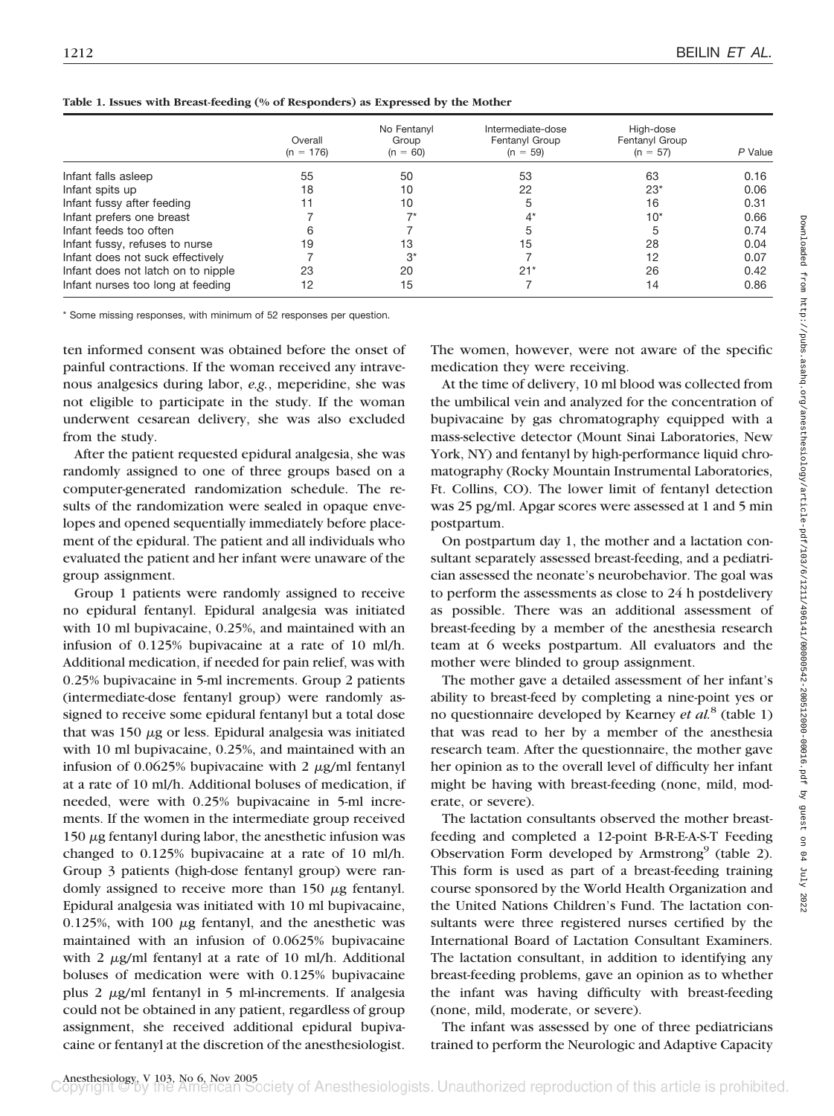|                                    | Overall<br>$(n = 176)$ | No Fentanvl<br>Group<br>$(n = 60)$ | Intermediate-dose<br>Fentanyl Group<br>$(n = 59)$ | High-dose<br>Fentanyl Group<br>$(n = 57)$ | P Value |
|------------------------------------|------------------------|------------------------------------|---------------------------------------------------|-------------------------------------------|---------|
| Infant falls asleep                | 55                     | 50                                 | 53                                                | 63                                        | 0.16    |
| Infant spits up                    | 18                     | 10                                 | 22                                                | $23*$                                     | 0.06    |
| Infant fussy after feeding         |                        | 10                                 |                                                   | 16                                        | 0.31    |
| Infant prefers one breast          |                        |                                    |                                                   | $10*$                                     | 0.66    |
| Infant feeds too often             | h                      |                                    |                                                   |                                           | 0.74    |
| Infant fussy, refuses to nurse     | 19                     | 13                                 | 15                                                | 28                                        | 0.04    |
| Infant does not suck effectively   |                        | $3^*$                              |                                                   | 12                                        | 0.07    |
| Infant does not latch on to nipple | 23                     | 20                                 | $21*$                                             | 26                                        | 0.42    |
| Infant nurses too long at feeding  | 12                     | 15                                 |                                                   | 14                                        | 0.86    |

\* Some missing responses, with minimum of 52 responses per question.

ten informed consent was obtained before the onset of painful contractions. If the woman received any intravenous analgesics during labor, *e.g.*, meperidine, she was not eligible to participate in the study. If the woman underwent cesarean delivery, she was also excluded from the study.

After the patient requested epidural analgesia, she was randomly assigned to one of three groups based on a computer-generated randomization schedule. The results of the randomization were sealed in opaque envelopes and opened sequentially immediately before placement of the epidural. The patient and all individuals who evaluated the patient and her infant were unaware of the group assignment.

Group 1 patients were randomly assigned to receive no epidural fentanyl. Epidural analgesia was initiated with 10 ml bupivacaine, 0.25%, and maintained with an infusion of 0.125% bupivacaine at a rate of 10 ml/h. Additional medication, if needed for pain relief, was with 0.25% bupivacaine in 5-ml increments. Group 2 patients (intermediate-dose fentanyl group) were randomly assigned to receive some epidural fentanyl but a total dose that was 150  $\mu$ g or less. Epidural analgesia was initiated with 10 ml bupivacaine, 0.25%, and maintained with an infusion of 0.0625% bupivacaine with 2  $\mu$ g/ml fentanyl at a rate of 10 ml/h. Additional boluses of medication, if needed, were with 0.25% bupivacaine in 5-ml increments. If the women in the intermediate group received 150  $\mu$ g fentanyl during labor, the anesthetic infusion was changed to 0.125% bupivacaine at a rate of 10 ml/h. Group 3 patients (high-dose fentanyl group) were randomly assigned to receive more than  $150 \mu$ g fentanyl. Epidural analgesia was initiated with 10 ml bupivacaine, 0.125%, with 100  $\mu$ g fentanyl, and the anesthetic was maintained with an infusion of 0.0625% bupivacaine with 2  $\mu$ g/ml fentanyl at a rate of 10 ml/h. Additional boluses of medication were with 0.125% bupivacaine plus  $2 \mu g/ml$  fentanyl in  $5 \text{ ml-increments}$ . If analgesia could not be obtained in any patient, regardless of group assignment, she received additional epidural bupivacaine or fentanyl at the discretion of the anesthesiologist.

The women, however, were not aware of the specific medication they were receiving.

At the time of delivery, 10 ml blood was collected from the umbilical vein and analyzed for the concentration of bupivacaine by gas chromatography equipped with a mass-selective detector (Mount Sinai Laboratories, New York, NY) and fentanyl by high-performance liquid chromatography (Rocky Mountain Instrumental Laboratories, Ft. Collins, CO). The lower limit of fentanyl detection was 25 pg/ml. Apgar scores were assessed at 1 and 5 min postpartum.

On postpartum day 1, the mother and a lactation consultant separately assessed breast-feeding, and a pediatrician assessed the neonate's neurobehavior. The goal was to perform the assessments as close to 24 h postdelivery as possible. There was an additional assessment of breast-feeding by a member of the anesthesia research team at 6 weeks postpartum. All evaluators and the mother were blinded to group assignment.

The mother gave a detailed assessment of her infant's ability to breast-feed by completing a nine-point yes or no questionnaire developed by Kearney *et al.*<sup>8</sup> (table 1) that was read to her by a member of the anesthesia research team. After the questionnaire, the mother gave her opinion as to the overall level of difficulty her infant might be having with breast-feeding (none, mild, moderate, or severe).

The lactation consultants observed the mother breastfeeding and completed a 12-point B-R-E-A-S-T Feeding Observation Form developed by Armstrong $9$  (table 2). This form is used as part of a breast-feeding training course sponsored by the World Health Organization and the United Nations Children's Fund. The lactation consultants were three registered nurses certified by the International Board of Lactation Consultant Examiners. The lactation consultant, in addition to identifying any breast-feeding problems, gave an opinion as to whether the infant was having difficulty with breast-feeding (none, mild, moderate, or severe).

The infant was assessed by one of three pediatricians trained to perform the Neurologic and Adaptive Capacity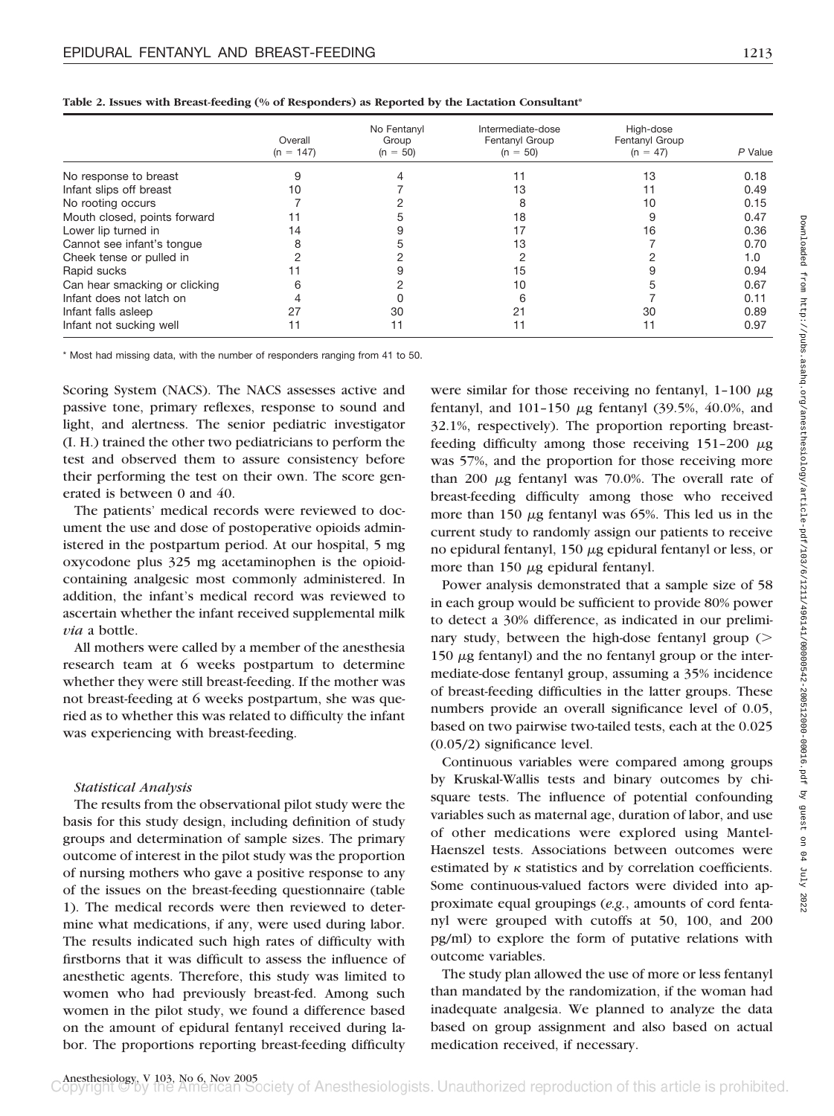|                               | Overall<br>$(n = 147)$ | No Fentanyl<br>Group<br>$(n = 50)$ | Intermediate-dose<br>Fentanyl Group<br>$(n = 50)$ | High-dose<br>Fentanyl Group<br>$(n = 47)$ | P Value |
|-------------------------------|------------------------|------------------------------------|---------------------------------------------------|-------------------------------------------|---------|
|                               |                        |                                    |                                                   |                                           |         |
| No response to breast         |                        |                                    |                                                   | 13                                        | 0.18    |
| Infant slips off breast       | 10                     |                                    | 13                                                |                                           | 0.49    |
| No rooting occurs             |                        |                                    | 8                                                 | 10                                        | 0.15    |
| Mouth closed, points forward  |                        |                                    | 18                                                |                                           | 0.47    |
| Lower lip turned in           | 14                     |                                    |                                                   | 16                                        | 0.36    |
| Cannot see infant's tonque    | 8                      |                                    | 13                                                |                                           | 0.70    |
| Cheek tense or pulled in      |                        |                                    |                                                   |                                           | 1.0     |
| Rapid sucks                   |                        |                                    | 15                                                |                                           | 0.94    |
| Can hear smacking or clicking |                        |                                    | 10                                                |                                           | 0.67    |
| Infant does not latch on      |                        |                                    | ิค                                                |                                           | 0.11    |
| Infant falls asleep           | 27                     | 30                                 | 21                                                | 30                                        | 0.89    |
| Infant not sucking well       | 11                     |                                    | 11                                                |                                           | 0.97    |

**Table 2. Issues with Breast-feeding (% of Responders) as Reported by the Lactation Consultant\***

\* Most had missing data, with the number of responders ranging from 41 to 50.

Scoring System (NACS). The NACS assesses active and passive tone, primary reflexes, response to sound and light, and alertness. The senior pediatric investigator (I. H.) trained the other two pediatricians to perform the test and observed them to assure consistency before their performing the test on their own. The score generated is between 0 and 40.

The patients' medical records were reviewed to document the use and dose of postoperative opioids administered in the postpartum period. At our hospital, 5 mg oxycodone plus 325 mg acetaminophen is the opioidcontaining analgesic most commonly administered. In addition, the infant's medical record was reviewed to ascertain whether the infant received supplemental milk *via* a bottle.

All mothers were called by a member of the anesthesia research team at 6 weeks postpartum to determine whether they were still breast-feeding. If the mother was not breast-feeding at 6 weeks postpartum, she was queried as to whether this was related to difficulty the infant was experiencing with breast-feeding.

#### *Statistical Analysis*

The results from the observational pilot study were the basis for this study design, including definition of study groups and determination of sample sizes. The primary outcome of interest in the pilot study was the proportion of nursing mothers who gave a positive response to any of the issues on the breast-feeding questionnaire (table 1). The medical records were then reviewed to determine what medications, if any, were used during labor. The results indicated such high rates of difficulty with firstborns that it was difficult to assess the influence of anesthetic agents. Therefore, this study was limited to women who had previously breast-fed. Among such women in the pilot study, we found a difference based on the amount of epidural fentanyl received during labor. The proportions reporting breast-feeding difficulty

were similar for those receiving no fentanyl,  $1-100 \mu$ g fentanyl, and  $101-150 \mu g$  fentanyl (39.5%, 40.0%, and 32.1%, respectively). The proportion reporting breastfeeding difficulty among those receiving  $151-200 \mu g$ was 57%, and the proportion for those receiving more than 200  $\mu$ g fentanyl was 70.0%. The overall rate of breast-feeding difficulty among those who received more than 150  $\mu$ g fentanyl was 65%. This led us in the current study to randomly assign our patients to receive no epidural fentanyl,  $150 \mu$ g epidural fentanyl or less, or more than  $150 \mu$ g epidural fentanyl.

Power analysis demonstrated that a sample size of 58 in each group would be sufficient to provide 80% power to detect a 30% difference, as indicated in our preliminary study, between the high-dose fentanyl group  $($ 150  $\mu$ g fentanyl) and the no fentanyl group or the intermediate-dose fentanyl group, assuming a 35% incidence of breast-feeding difficulties in the latter groups. These numbers provide an overall significance level of 0.05, based on two pairwise two-tailed tests, each at the 0.025 (0.05/2) significance level.

Continuous variables were compared among groups by Kruskal-Wallis tests and binary outcomes by chisquare tests. The influence of potential confounding variables such as maternal age, duration of labor, and use of other medications were explored using Mantel-Haenszel tests. Associations between outcomes were estimated by  $\kappa$  statistics and by correlation coefficients. Some continuous-valued factors were divided into approximate equal groupings (*e.g.*, amounts of cord fentanyl were grouped with cutoffs at 50, 100, and 200 pg/ml) to explore the form of putative relations with outcome variables.

The study plan allowed the use of more or less fentanyl than mandated by the randomization, if the woman had inadequate analgesia. We planned to analyze the data based on group assignment and also based on actual medication received, if necessary.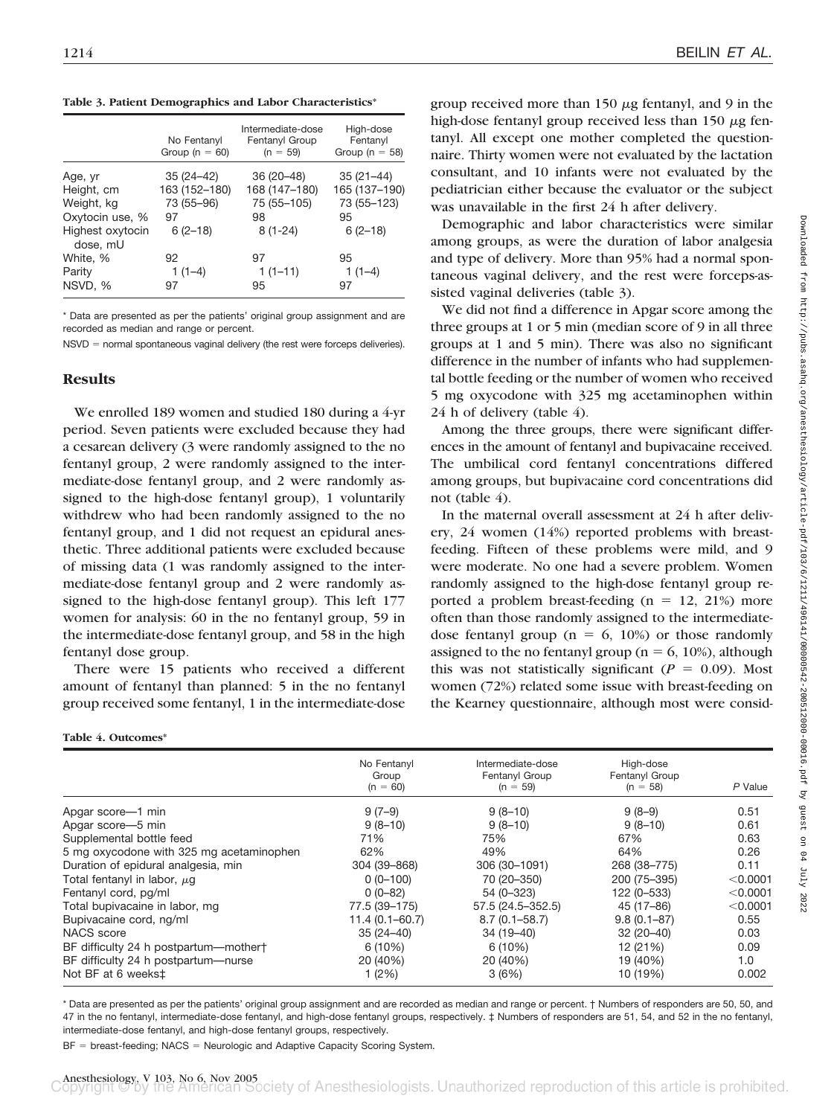**Table 3. Patient Demographics and Labor Characteristics\***

|                              | No Fentanyl<br>Group ( $n = 60$ ) | Intermediate-dose<br>Fentanyl Group<br>$(n = 59)$ | High-dose<br>Fentanyl<br>Group ( $n = 58$ ) |
|------------------------------|-----------------------------------|---------------------------------------------------|---------------------------------------------|
| Age, yr                      | $35(24-42)$                       | 36 (20 - 48)                                      | $35(21-44)$                                 |
| Height, cm                   | 163 (152-180)                     | 168 (147-180)                                     | 165 (137-190)                               |
| Weight, kg                   | 73 (55-96)                        | 75 (55-105)                                       | 73 (55-123)                                 |
| Oxytocin use, %              | 97                                | 98                                                | 95                                          |
| Highest oxytocin<br>dose, mU | $6(2-18)$                         | $8(1-24)$                                         | $6(2-18)$                                   |
| White, %                     | 92                                | 97                                                | 95                                          |
| Parity                       | $1(1-4)$                          | $1(1-11)$                                         | $1(1-4)$                                    |
| NSVD, %                      | 97                                | 95                                                | 97                                          |

\* Data are presented as per the patients' original group assignment and are recorded as median and range or percent.

 $NSVD =$  normal spontaneous vaginal delivery (the rest were forceps deliveries).

#### **Results**

**Table 4. Outcomes\***

We enrolled 189 women and studied 180 during a 4-yr period. Seven patients were excluded because they had a cesarean delivery (3 were randomly assigned to the no fentanyl group, 2 were randomly assigned to the intermediate-dose fentanyl group, and 2 were randomly assigned to the high-dose fentanyl group), 1 voluntarily withdrew who had been randomly assigned to the no fentanyl group, and 1 did not request an epidural anesthetic. Three additional patients were excluded because of missing data (1 was randomly assigned to the intermediate-dose fentanyl group and 2 were randomly assigned to the high-dose fentanyl group). This left 177 women for analysis: 60 in the no fentanyl group, 59 in the intermediate-dose fentanyl group, and 58 in the high fentanyl dose group.

There were 15 patients who received a different amount of fentanyl than planned: 5 in the no fentanyl group received some fentanyl, 1 in the intermediate-dose

group received more than  $150 \mu$ g fentanyl, and 9 in the high-dose fentanyl group received less than  $150 \mu g$  fentanyl. All except one mother completed the questionnaire. Thirty women were not evaluated by the lactation consultant, and 10 infants were not evaluated by the pediatrician either because the evaluator or the subject was unavailable in the first 24 h after delivery.

Demographic and labor characteristics were similar among groups, as were the duration of labor analgesia and type of delivery. More than 95% had a normal spontaneous vaginal delivery, and the rest were forceps-assisted vaginal deliveries (table 3).

We did not find a difference in Apgar score among the three groups at 1 or 5 min (median score of 9 in all three groups at 1 and 5 min). There was also no significant difference in the number of infants who had supplemental bottle feeding or the number of women who received 5 mg oxycodone with 325 mg acetaminophen within 24 h of delivery (table 4).

Among the three groups, there were significant differences in the amount of fentanyl and bupivacaine received. The umbilical cord fentanyl concentrations differed among groups, but bupivacaine cord concentrations did not (table 4).

In the maternal overall assessment at 24 h after delivery, 24 women (14%) reported problems with breastfeeding. Fifteen of these problems were mild, and 9 were moderate. No one had a severe problem. Women randomly assigned to the high-dose fentanyl group reported a problem breast-feeding  $(n = 12, 21%)$  more often than those randomly assigned to the intermediatedose fentanyl group ( $n = 6$ , 10%) or those randomly assigned to the no fentanyl group ( $n = 6$ , 10%), although this was not statistically significant ( $P = 0.09$ ). Most women (72%) related some issue with breast-feeding on the Kearney questionnaire, although most were consid-

|                                          | No Fentanyl<br>Group | Intermediate-dose<br>Fentanyl Group | High-dose<br>Fentanyl Group |          |
|------------------------------------------|----------------------|-------------------------------------|-----------------------------|----------|
|                                          | $(n = 60)$           | $(n = 59)$                          | $(n = 58)$                  | P Value  |
| Apgar score-1 min                        | $9(7-9)$             | $9(8-10)$                           | $9(8-9)$                    | 0.51     |
| Apgar score-5 min                        | $9(8-10)$            | $9(8-10)$                           | $9(8-10)$                   | 0.61     |
| Supplemental bottle feed                 | 71%                  | 75%                                 | 67%                         | 0.63     |
| 5 mg oxycodone with 325 mg acetaminophen | 62%                  | 49%                                 | 64%                         | 0.26     |
| Duration of epidural analgesia, min      | 304 (39-868)         | 306 (30-1091)                       | 268 (38-775)                | 0.11     |
| Total fentanyl in labor, $\mu$ g         | $0(0-100)$           | 70 (20-350)                         | 200 (75-395)                | < 0.0001 |
| Fentanyl cord, pg/ml                     | $0(0-82)$            | 54 (0-323)                          | 122 (0-533)                 | < 0.0001 |
| Total bupivacaine in labor, mg           | 77.5 (39-175)        | 57.5 (24.5-352.5)                   | 45 (17-86)                  | < 0.0001 |
| Bupivacaine cord, ng/ml                  | $11.4(0.1 - 60.7)$   | $8.7(0.1 - 58.7)$                   | $9.8(0.1 - 87)$             | 0.55     |
| NACS score                               | $35(24-40)$          | $34(19-40)$                         | $32(20-40)$                 | 0.03     |
| BF difficulty 24 h postpartum-mothert    | 6(10%)               | 6(10%)                              | 12 (21%)                    | 0.09     |
| BF difficulty 24 h postpartum—nurse      | 20 (40%)             | 20 (40%)                            | 19 (40%)                    | 1.0      |
| Not BF at 6 weeks <sup>±</sup>           | 1(2%)                | 3(6%)                               | 10 (19%)                    | 0.002    |

\* Data are presented as per the patients' original group assignment and are recorded as median and range or percent. † Numbers of responders are 50, 50, and 47 in the no fentanyl, intermediate-dose fentanyl, and high-dose fentanyl groups, respectively. ‡ Numbers of responders are 51, 54, and 52 in the no fentanyl, intermediate-dose fentanyl, and high-dose fentanyl groups, respectively.

 $BF =$  breast-feeding; NACS  $=$  Neurologic and Adaptive Capacity Scoring System.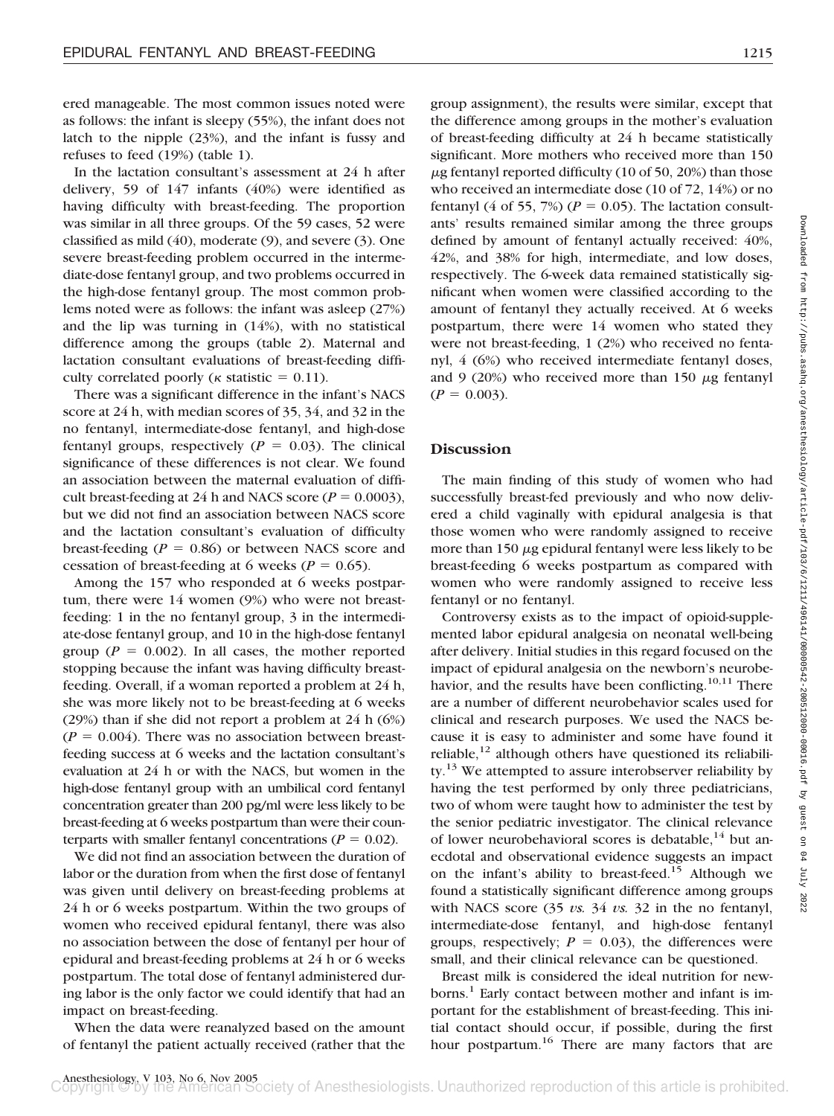ered manageable. The most common issues noted were as follows: the infant is sleepy (55%), the infant does not latch to the nipple (23%), and the infant is fussy and refuses to feed (19%) (table 1).

In the lactation consultant's assessment at 24 h after delivery, 59 of 147 infants (40%) were identified as having difficulty with breast-feeding. The proportion was similar in all three groups. Of the 59 cases, 52 were classified as mild (40), moderate (9), and severe (3). One severe breast-feeding problem occurred in the intermediate-dose fentanyl group, and two problems occurred in the high-dose fentanyl group. The most common problems noted were as follows: the infant was asleep (27%) and the lip was turning in (14%), with no statistical difference among the groups (table 2). Maternal and lactation consultant evaluations of breast-feeding difficulty correlated poorly ( $\kappa$  statistic = 0.11).

There was a significant difference in the infant's NACS score at 24 h, with median scores of 35, 34, and 32 in the no fentanyl, intermediate-dose fentanyl, and high-dose fentanyl groups, respectively  $(P = 0.03)$ . The clinical significance of these differences is not clear. We found an association between the maternal evaluation of difficult breast-feeding at 24 h and NACS score ( $P = 0.0003$ ), but we did not find an association between NACS score and the lactation consultant's evaluation of difficulty breast-feeding  $(P = 0.86)$  or between NACS score and cessation of breast-feeding at 6 weeks ( $P = 0.65$ ).

Among the 157 who responded at 6 weeks postpartum, there were 14 women (9%) who were not breastfeeding: 1 in the no fentanyl group, 3 in the intermediate-dose fentanyl group, and 10 in the high-dose fentanyl group ( $P = 0.002$ ). In all cases, the mother reported stopping because the infant was having difficulty breastfeeding. Overall, if a woman reported a problem at 24 h, she was more likely not to be breast-feeding at 6 weeks (29%) than if she did not report a problem at 24 h (6%)  $(P = 0.004)$ . There was no association between breastfeeding success at 6 weeks and the lactation consultant's evaluation at 24 h or with the NACS, but women in the high-dose fentanyl group with an umbilical cord fentanyl concentration greater than 200 pg/ml were less likely to be breast-feeding at 6 weeks postpartum than were their counterparts with smaller fentanyl concentrations ( $P = 0.02$ ).

We did not find an association between the duration of labor or the duration from when the first dose of fentanyl was given until delivery on breast-feeding problems at 24 h or 6 weeks postpartum. Within the two groups of women who received epidural fentanyl, there was also no association between the dose of fentanyl per hour of epidural and breast-feeding problems at 24 h or 6 weeks postpartum. The total dose of fentanyl administered during labor is the only factor we could identify that had an impact on breast-feeding.

When the data were reanalyzed based on the amount of fentanyl the patient actually received (rather that the

group assignment), the results were similar, except that the difference among groups in the mother's evaluation of breast-feeding difficulty at 24 h became statistically significant. More mothers who received more than 150  $\mu$ g fentanyl reported difficulty (10 of 50, 20%) than those who received an intermediate dose (10 of 72, 14%) or no fentanyl (4 of 55, 7%) ( $P = 0.05$ ). The lactation consultants' results remained similar among the three groups defined by amount of fentanyl actually received: 40%, 42%, and 38% for high, intermediate, and low doses, respectively. The 6-week data remained statistically significant when women were classified according to the amount of fentanyl they actually received. At 6 weeks postpartum, there were 14 women who stated they were not breast-feeding, 1 (2%) who received no fentanyl, 4 (6%) who received intermediate fentanyl doses, and 9 (20%) who received more than 150  $\mu$ g fentanyl  $(P = 0.003)$ .

#### **Discussion**

The main finding of this study of women who had successfully breast-fed previously and who now delivered a child vaginally with epidural analgesia is that those women who were randomly assigned to receive more than 150  $\mu$ g epidural fentanyl were less likely to be breast-feeding 6 weeks postpartum as compared with women who were randomly assigned to receive less fentanyl or no fentanyl.

Controversy exists as to the impact of opioid-supplemented labor epidural analgesia on neonatal well-being after delivery. Initial studies in this regard focused on the impact of epidural analgesia on the newborn's neurobehavior, and the results have been conflicting.<sup>10,11</sup> There are a number of different neurobehavior scales used for clinical and research purposes. We used the NACS because it is easy to administer and some have found it reliable, $12$  although others have questioned its reliability.<sup>13</sup> We attempted to assure interobserver reliability by having the test performed by only three pediatricians, two of whom were taught how to administer the test by the senior pediatric investigator. The clinical relevance of lower neurobehavioral scores is debatable,  $14$  but anecdotal and observational evidence suggests an impact on the infant's ability to breast-feed.<sup>15</sup> Although we found a statistically significant difference among groups with NACS score (35 *vs.* 34 *vs.* 32 in the no fentanyl, intermediate-dose fentanyl, and high-dose fentanyl groups, respectively;  $P = 0.03$ ), the differences were small, and their clinical relevance can be questioned.

Breast milk is considered the ideal nutrition for newborns.<sup>1</sup> Early contact between mother and infant is important for the establishment of breast-feeding. This initial contact should occur, if possible, during the first hour postpartum.<sup>16</sup> There are many factors that are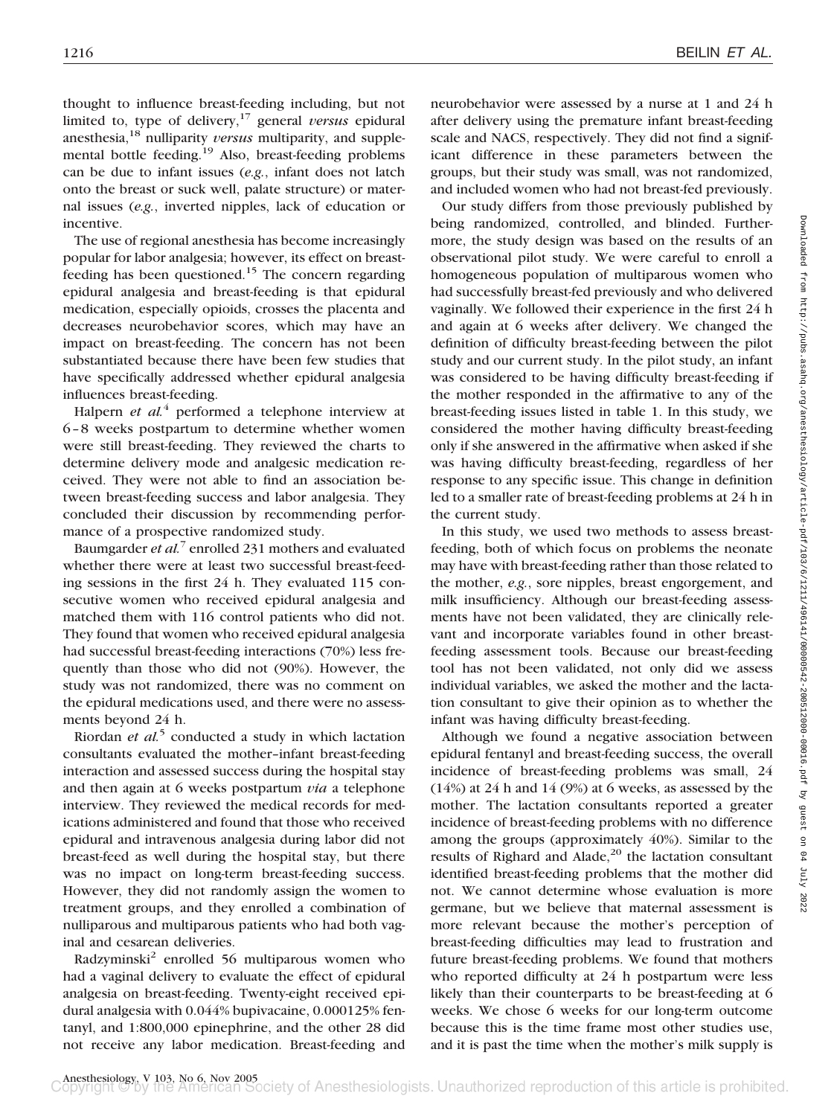thought to influence breast-feeding including, but not limited to, type of delivery,17 general *versus* epidural anesthesia,18 nulliparity *versus* multiparity, and supplemental bottle feeding.19 Also, breast-feeding problems can be due to infant issues (*e.g.*, infant does not latch onto the breast or suck well, palate structure) or maternal issues (*e.g.*, inverted nipples, lack of education or incentive.

The use of regional anesthesia has become increasingly popular for labor analgesia; however, its effect on breastfeeding has been questioned.15 The concern regarding epidural analgesia and breast-feeding is that epidural medication, especially opioids, crosses the placenta and decreases neurobehavior scores, which may have an impact on breast-feeding. The concern has not been substantiated because there have been few studies that have specifically addressed whether epidural analgesia influences breast-feeding.

Halpern *et al.*<sup>4</sup> performed a telephone interview at 6–8 weeks postpartum to determine whether women were still breast-feeding. They reviewed the charts to determine delivery mode and analgesic medication received. They were not able to find an association between breast-feeding success and labor analgesia. They concluded their discussion by recommending performance of a prospective randomized study.

Baumgarder *et al.*<sup>7</sup> enrolled 231 mothers and evaluated whether there were at least two successful breast-feeding sessions in the first 24 h. They evaluated 115 consecutive women who received epidural analgesia and matched them with 116 control patients who did not. They found that women who received epidural analgesia had successful breast-feeding interactions (70%) less frequently than those who did not (90%). However, the study was not randomized, there was no comment on the epidural medications used, and there were no assessments beyond 24 h.

Riordan *et al.*<sup>5</sup> conducted a study in which lactation consultants evaluated the mother–infant breast-feeding interaction and assessed success during the hospital stay and then again at 6 weeks postpartum *via* a telephone interview. They reviewed the medical records for medications administered and found that those who received epidural and intravenous analgesia during labor did not breast-feed as well during the hospital stay, but there was no impact on long-term breast-feeding success. However, they did not randomly assign the women to treatment groups, and they enrolled a combination of nulliparous and multiparous patients who had both vaginal and cesarean deliveries.

Radzyminski<sup>2</sup> enrolled 56 multiparous women who had a vaginal delivery to evaluate the effect of epidural analgesia on breast-feeding. Twenty-eight received epidural analgesia with 0.044% bupivacaine, 0.000125% fentanyl, and 1:800,000 epinephrine, and the other 28 did not receive any labor medication. Breast-feeding and neurobehavior were assessed by a nurse at 1 and 24 h after delivery using the premature infant breast-feeding scale and NACS, respectively. They did not find a significant difference in these parameters between the groups, but their study was small, was not randomized, and included women who had not breast-fed previously.

Our study differs from those previously published by being randomized, controlled, and blinded. Furthermore, the study design was based on the results of an observational pilot study. We were careful to enroll a homogeneous population of multiparous women who had successfully breast-fed previously and who delivered vaginally. We followed their experience in the first 24 h and again at 6 weeks after delivery. We changed the definition of difficulty breast-feeding between the pilot study and our current study. In the pilot study, an infant was considered to be having difficulty breast-feeding if the mother responded in the affirmative to any of the breast-feeding issues listed in table 1. In this study, we considered the mother having difficulty breast-feeding only if she answered in the affirmative when asked if she was having difficulty breast-feeding, regardless of her response to any specific issue. This change in definition led to a smaller rate of breast-feeding problems at 24 h in the current study.

In this study, we used two methods to assess breastfeeding, both of which focus on problems the neonate may have with breast-feeding rather than those related to the mother, *e.g.*, sore nipples, breast engorgement, and milk insufficiency. Although our breast-feeding assessments have not been validated, they are clinically relevant and incorporate variables found in other breastfeeding assessment tools. Because our breast-feeding tool has not been validated, not only did we assess individual variables, we asked the mother and the lactation consultant to give their opinion as to whether the infant was having difficulty breast-feeding.

Although we found a negative association between epidural fentanyl and breast-feeding success, the overall incidence of breast-feeding problems was small, 24 (14%) at 24 h and 14 (9%) at 6 weeks, as assessed by the mother. The lactation consultants reported a greater incidence of breast-feeding problems with no difference among the groups (approximately 40%). Similar to the results of Righard and Alade, $^{20}$  the lactation consultant identified breast-feeding problems that the mother did not. We cannot determine whose evaluation is more germane, but we believe that maternal assessment is more relevant because the mother's perception of breast-feeding difficulties may lead to frustration and future breast-feeding problems. We found that mothers who reported difficulty at 24 h postpartum were less likely than their counterparts to be breast-feeding at 6 weeks. We chose 6 weeks for our long-term outcome because this is the time frame most other studies use, and it is past the time when the mother's milk supply is